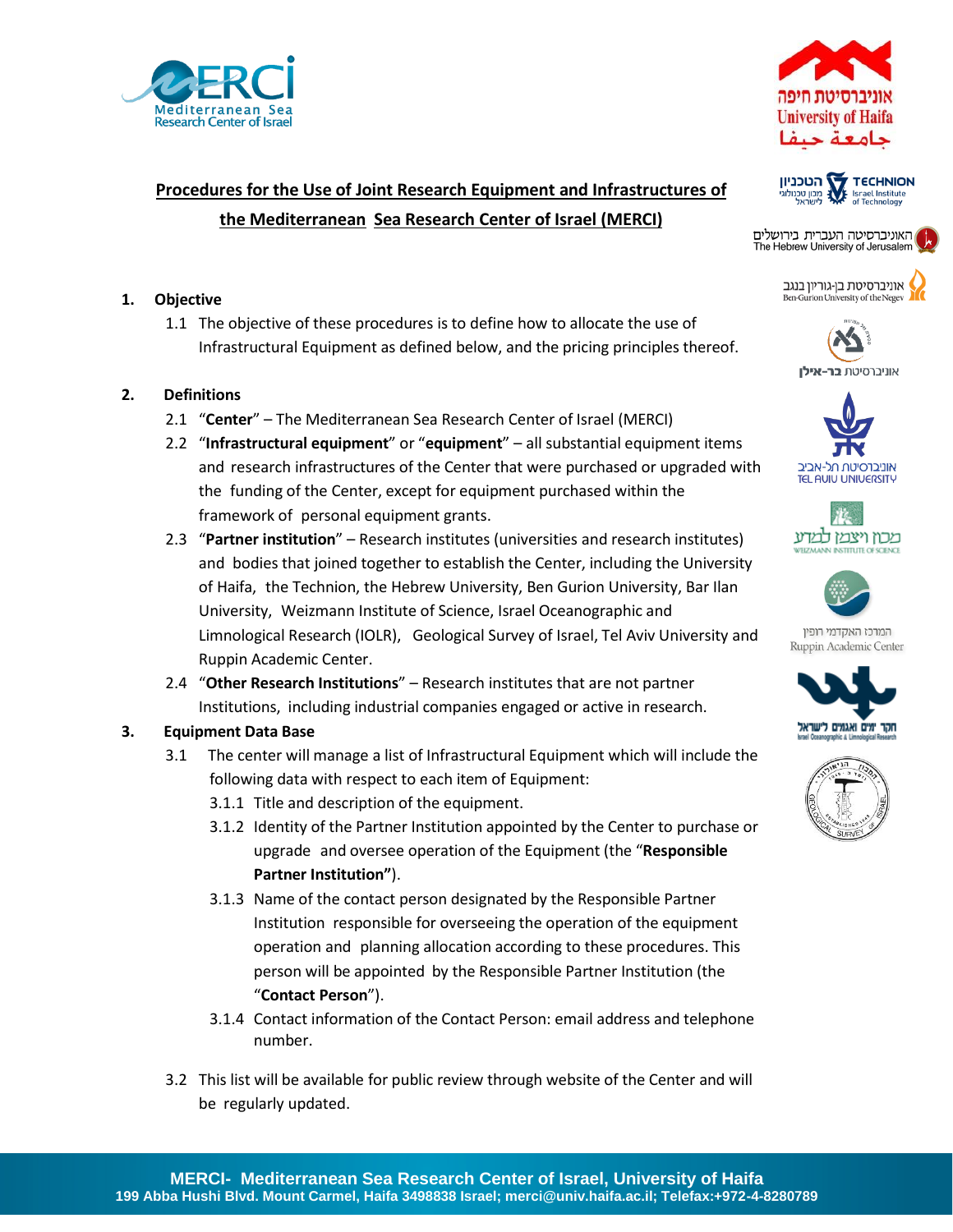



# **Procedures for the Use of Joint Research Equipment and Infrastructures of the Mediterranean Sea Research Center of Israel (MERCI)**

## **1. Objective**

1.1 The objective of these procedures is to define how to allocate the use of Infrastructural Equipment as defined below, and the pricing principles thereof.

## **2. Definitions**

- 2.1 "**Center**" The Mediterranean Sea Research Center of Israel (MERCI)
- 2.2 "**Infrastructural equipment**" or "**equipment**" all substantial equipment items and research infrastructures of the Center that were purchased or upgraded with the funding of the Center, except for equipment purchased within the framework of personal equipment grants.
- 2.3 "**Partner institution**" Research institutes (universities and research institutes) and bodies that joined together to establish the Center, including the University of Haifa, the Technion, the Hebrew University, Ben Gurion University, Bar Ilan University, Weizmann Institute of Science, Israel Oceanographic and Limnological Research (IOLR), Geological Survey of Israel, Tel Aviv University and Ruppin Academic Center.
- 2.4 "**Other Research Institutions**" Research institutes that are not partner Institutions, including industrial companies engaged or active in research.

# **3. Equipment Data Base**

- 3.1 The center will manage a list of Infrastructural Equipment which will include the following data with respect to each item of Equipment:
	- 3.1.1 Title and description of the equipment.
	- 3.1.2 Identity of the Partner Institution appointed by the Center to purchase or upgrade and oversee operation of the Equipment (the "**Responsible Partner Institution"**).
	- 3.1.3 Name of the contact person designated by the Responsible Partner Institution responsible for overseeing the operation of the equipment operation and planning allocation according to these procedures. This person will be appointed by the Responsible Partner Institution (the "**Contact Person**").
	- 3.1.4 Contact information of the Contact Person: email address and telephone number.
- 3.2 This list will be available for public review through website of the Center and will be regularly updated.



האוניברסיטה העברית בירושלים The Hebrew University of Jerusalem

> אוניברסיטת בן-גוריון בנגב Ben-Gurion University of the Negev









המרכז האקדמי רופין Ruppin Academic Center



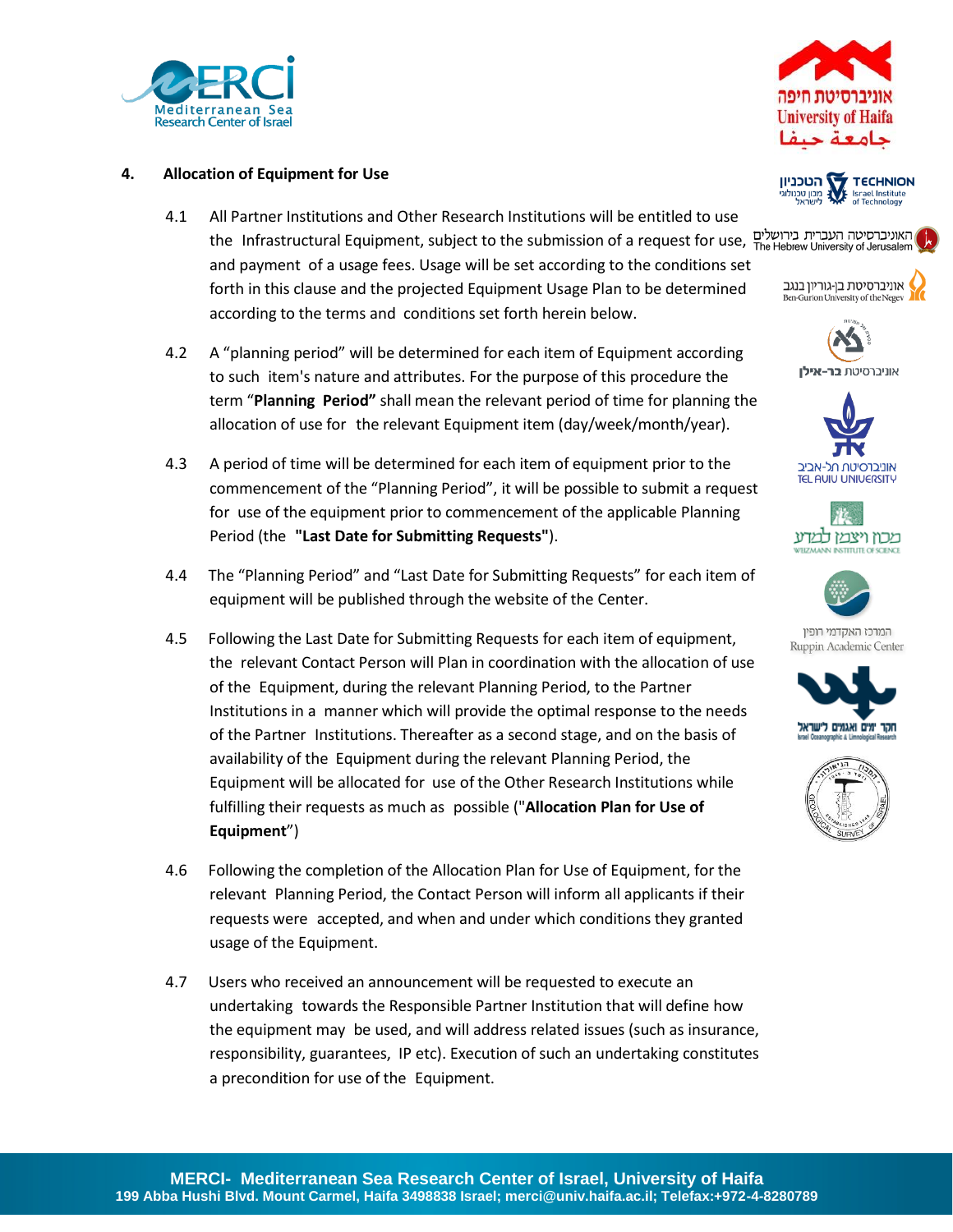



### **4. Allocation of Equipment for Use**

- 4.1 All Partner Institutions and Other Research Institutions will be entitled to use the Infrastructural Equipment, subject to the submission of a request for use, and payment of a usage fees. Usage will be set according to the conditions set forth in this clause and the projected Equipment Usage Plan to be determined according to the terms and conditions set forth herein below.
- 4.2 A "planning period" will be determined for each item of Equipment according to such item's nature and attributes. For the purpose of this procedure the term "**Planning Period"** shall mean the relevant period of time for planning the allocation of use for the relevant Equipment item (day/week/month/year).
- 4.3 A period of time will be determined for each item of equipment prior to the commencement of the "Planning Period", it will be possible to submit a request for use of the equipment prior to commencement of the applicable Planning Period (the **"Last Date for Submitting Requests"**).
- 4.4 The "Planning Period" and "Last Date for Submitting Requests" for each item of equipment will be published through the website of the Center.
- 4.5 Following the Last Date for Submitting Requests for each item of equipment, the relevant Contact Person will Plan in coordination with the allocation of use of the Equipment, during the relevant Planning Period, to the Partner Institutions in a manner which will provide the optimal response to the needs of the Partner Institutions. Thereafter as a second stage, and on the basis of availability of the Equipment during the relevant Planning Period, the Equipment will be allocated for use of the Other Research Institutions while fulfilling their requests as much as possible ("**Allocation Plan for Use of Equipment**")
- 4.6 Following the completion of the Allocation Plan for Use of Equipment, for the relevant Planning Period, the Contact Person will inform all applicants if their requests were accepted, and when and under which conditions they granted usage of the Equipment.
- 4.7 Users who received an announcement will be requested to execute an undertaking towards the Responsible Partner Institution that will define how the equipment may be used, and will address related issues (such as insurance, responsibility, guarantees, IP etc). Execution of such an undertaking constitutes a precondition for use of the Equipment.













המרכז האקדמי רופין Ruppin Academic Center